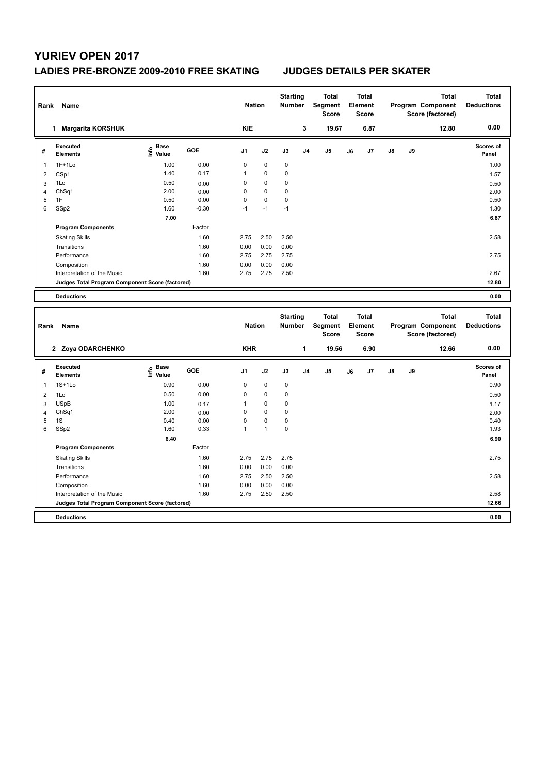## **LADIES PRE-BRONZE 2009-2010 FREE SKATING JUDGES DETAILS PER SKATER**

| Rank           | Name                                            |                   |              | <b>Nation</b> |              | <b>Starting</b><br><b>Number</b> |                | <b>Total</b><br>Segment<br><b>Score</b> |    | <b>Total</b><br>Element<br><b>Score</b> |    |    | <b>Total</b><br>Program Component<br>Score (factored) | <b>Total</b><br><b>Deductions</b> |
|----------------|-------------------------------------------------|-------------------|--------------|---------------|--------------|----------------------------------|----------------|-----------------------------------------|----|-----------------------------------------|----|----|-------------------------------------------------------|-----------------------------------|
|                | 1 Margarita KORSHUK                             |                   |              | <b>KIE</b>    |              |                                  | 3              | 19.67                                   |    | 6.87                                    |    |    | 12.80                                                 | 0.00                              |
| #              | <b>Executed</b><br><b>Elements</b>              | e Base<br>E Value | GOE          | J1            | J2           | J3                               | J <sub>4</sub> | J <sub>5</sub>                          | J6 | J7                                      | J8 | J9 |                                                       | Scores of<br>Panel                |
| $\mathbf{1}$   | $1F+1Lo$                                        | 1.00              | 0.00         | $\mathbf 0$   | $\mathbf 0$  | 0                                |                |                                         |    |                                         |    |    |                                                       | 1.00                              |
| $\overline{2}$ | CSp1                                            | 1.40              | 0.17         | $\mathbf{1}$  | 0            | 0                                |                |                                         |    |                                         |    |    |                                                       | 1.57                              |
| 3              | 1Lo                                             | 0.50              | 0.00         | $\mathbf 0$   | 0            | 0                                |                |                                         |    |                                         |    |    |                                                       | 0.50                              |
| $\overline{4}$ | ChSq1                                           | 2.00              | 0.00         | $\mathbf 0$   | $\mathbf 0$  | 0                                |                |                                         |    |                                         |    |    |                                                       | 2.00                              |
| 5              | 1F                                              | 0.50              | 0.00         | $\mathbf 0$   | 0            | 0                                |                |                                         |    |                                         |    |    |                                                       | 0.50                              |
| 6              | SSp2                                            | 1.60              | $-0.30$      | $-1$          | $-1$         | $-1$                             |                |                                         |    |                                         |    |    |                                                       | 1.30                              |
|                |                                                 | 7.00              |              |               |              |                                  |                |                                         |    |                                         |    |    |                                                       | 6.87                              |
|                | <b>Program Components</b>                       |                   | Factor       |               |              |                                  |                |                                         |    |                                         |    |    |                                                       |                                   |
|                | <b>Skating Skills</b>                           |                   | 1.60         | 2.75          | 2.50         | 2.50                             |                |                                         |    |                                         |    |    |                                                       | 2.58                              |
|                | Transitions                                     |                   | 1.60         | 0.00          | 0.00         | 0.00                             |                |                                         |    |                                         |    |    |                                                       |                                   |
|                | Performance                                     |                   | 1.60         | 2.75          | 2.75         | 2.75                             |                |                                         |    |                                         |    |    |                                                       | 2.75                              |
|                | Composition                                     |                   | 1.60         | 0.00          | 0.00         | 0.00                             |                |                                         |    |                                         |    |    |                                                       |                                   |
|                | Interpretation of the Music                     |                   | 1.60         | 2.75          | 2.75         | 2.50                             |                |                                         |    |                                         |    |    |                                                       | 2.67                              |
|                | Judges Total Program Component Score (factored) |                   |              |               |              |                                  |                |                                         |    |                                         |    |    |                                                       | 12.80                             |
|                | <b>Deductions</b>                               |                   |              |               |              |                                  |                |                                         |    |                                         |    |    |                                                       | 0.00                              |
|                |                                                 |                   |              |               |              | <b>Starting</b>                  |                | <b>Total</b>                            |    | <b>Total</b>                            |    |    | <b>Total</b>                                          | <b>Total</b>                      |
| Rank           | Name                                            |                   |              | <b>Nation</b> |              | <b>Number</b>                    |                | Segment<br><b>Score</b>                 |    | Element<br><b>Score</b>                 |    |    | Program Component<br>Score (factored)                 | <b>Deductions</b>                 |
|                | 2 Zoya ODARCHENKO                               |                   |              | <b>KHR</b>    |              |                                  | 1              | 19.56                                   |    | 6.90                                    |    |    | 12.66                                                 | 0.00                              |
| #              | <b>Executed</b><br>Elements                     | e Base<br>E Value | <b>GOE</b>   | J1            | J2           | J3                               | J <sub>4</sub> | J <sub>5</sub>                          | J6 | J7                                      | J8 | J9 |                                                       | Scores of<br>Panel                |
| $\mathbf{1}$   | $1S+1Lo$                                        | 0.90              | 0.00         | $\mathbf 0$   | $\mathbf 0$  | $\mathbf 0$                      |                |                                         |    |                                         |    |    |                                                       | 0.90                              |
| $\overline{2}$ | 1Lo                                             | 0.50              | 0.00         | $\mathbf 0$   | 0            | 0                                |                |                                         |    |                                         |    |    |                                                       | 0.50                              |
| 3              | <b>USpB</b>                                     | 1.00              | 0.17         | $\mathbf{1}$  | $\mathbf 0$  | 0                                |                |                                         |    |                                         |    |    |                                                       | 1.17                              |
| $\overline{4}$ | Ch <sub>Sq1</sub>                               | 2.00              | 0.00         | $\mathbf 0$   | 0            | 0                                |                |                                         |    |                                         |    |    |                                                       | 2.00                              |
| 5              | 1S                                              | 0.40              | 0.00         | $\mathbf 0$   | 0            | 0                                |                |                                         |    |                                         |    |    |                                                       | 0.40                              |
| 6              |                                                 |                   |              |               | $\mathbf{1}$ | 0                                |                |                                         |    |                                         |    |    |                                                       | 1.93                              |
|                | SSp2                                            | 1.60              | 0.33         | $\mathbf{1}$  |              |                                  |                |                                         |    |                                         |    |    |                                                       |                                   |
|                |                                                 | 6.40              |              |               |              |                                  |                |                                         |    |                                         |    |    |                                                       | 6.90                              |
|                | <b>Program Components</b>                       |                   | Factor       |               |              |                                  |                |                                         |    |                                         |    |    |                                                       |                                   |
|                | <b>Skating Skills</b>                           |                   | 1.60         | 2.75          | 2.75         | 2.75                             |                |                                         |    |                                         |    |    |                                                       | 2.75                              |
|                | Transitions                                     |                   | 1.60         | 0.00          | 0.00         | 0.00                             |                |                                         |    |                                         |    |    |                                                       |                                   |
|                | Performance                                     |                   | 1.60         | 2.75          | 2.50         | 2.50                             |                |                                         |    |                                         |    |    |                                                       | 2.58                              |
|                |                                                 |                   |              |               |              | 0.00                             |                |                                         |    |                                         |    |    |                                                       |                                   |
|                | Composition<br>Interpretation of the Music      |                   | 1.60<br>1.60 | 0.00<br>2.75  | 0.00<br>2.50 | 2.50                             |                |                                         |    |                                         |    |    |                                                       | 2.58                              |
|                | Judges Total Program Component Score (factored) |                   |              |               |              |                                  |                |                                         |    |                                         |    |    |                                                       | 12.66                             |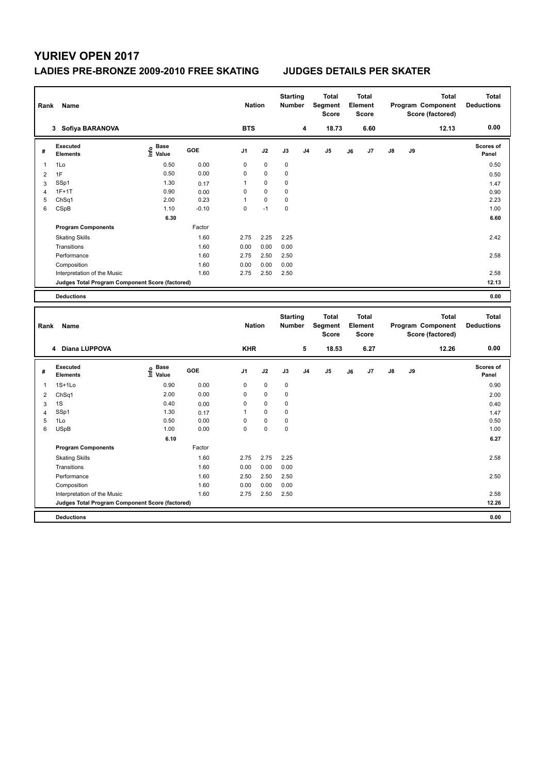## **LADIES PRE-BRONZE 2009-2010 FREE SKATING JUDGES DETAILS PER SKATER**

| Rank           | Name                                            |                   |         | <b>Nation</b>  |             | <b>Starting</b><br>Number |                | <b>Total</b><br>Segment<br><b>Score</b> |    | <b>Total</b><br>Element<br><b>Score</b> |    |    | <b>Total</b><br>Program Component<br>Score (factored) | <b>Total</b><br><b>Deductions</b> |
|----------------|-------------------------------------------------|-------------------|---------|----------------|-------------|---------------------------|----------------|-----------------------------------------|----|-----------------------------------------|----|----|-------------------------------------------------------|-----------------------------------|
|                | 3 Sofiya BARANOVA                               |                   |         | <b>BTS</b>     |             |                           | 4              | 18.73                                   |    | 6.60                                    |    |    | 12.13                                                 | 0.00                              |
| #              | <b>Executed</b><br><b>Elements</b>              | e Base<br>E Value | GOE     | J1             | J2          | J3                        | J <sub>4</sub> | J <sub>5</sub>                          | J6 | J7                                      | J8 | J9 |                                                       | Scores of<br>Panel                |
| $\mathbf{1}$   | 1Lo                                             | 0.50              | 0.00    | $\mathbf 0$    | $\pmb{0}$   | $\pmb{0}$                 |                |                                         |    |                                         |    |    |                                                       | 0.50                              |
| $\overline{2}$ | 1F                                              | 0.50              | 0.00    | $\mathbf 0$    | 0           | 0                         |                |                                         |    |                                         |    |    |                                                       | 0.50                              |
| 3              | SSp1                                            | 1.30              | 0.17    | 1              | 0           | 0                         |                |                                         |    |                                         |    |    |                                                       | 1.47                              |
| $\overline{4}$ | $1F+1T$                                         | 0.90              | 0.00    | $\mathbf 0$    | 0           | 0                         |                |                                         |    |                                         |    |    |                                                       | 0.90                              |
| 5              | ChSq1                                           | 2.00              | 0.23    | 1              | 0           | 0                         |                |                                         |    |                                         |    |    |                                                       | 2.23                              |
| 6              | CSpB                                            | 1.10              | $-0.10$ | $\Omega$       | $-1$        | 0                         |                |                                         |    |                                         |    |    |                                                       | 1.00                              |
|                |                                                 | 6.30              |         |                |             |                           |                |                                         |    |                                         |    |    |                                                       | 6.60                              |
|                | <b>Program Components</b>                       |                   | Factor  |                |             |                           |                |                                         |    |                                         |    |    |                                                       |                                   |
|                | <b>Skating Skills</b>                           |                   | 1.60    | 2.75           | 2.25        | 2.25                      |                |                                         |    |                                         |    |    |                                                       | 2.42                              |
|                | Transitions                                     |                   | 1.60    | 0.00           | 0.00        | 0.00                      |                |                                         |    |                                         |    |    |                                                       |                                   |
|                | Performance                                     |                   | 1.60    | 2.75           | 2.50        | 2.50                      |                |                                         |    |                                         |    |    |                                                       | 2.58                              |
|                | Composition                                     |                   | 1.60    | 0.00           | 0.00        | 0.00                      |                |                                         |    |                                         |    |    |                                                       |                                   |
|                | Interpretation of the Music                     |                   | 1.60    | 2.75           | 2.50        | 2.50                      |                |                                         |    |                                         |    |    |                                                       | 2.58                              |
|                | Judges Total Program Component Score (factored) |                   |         |                |             |                           |                |                                         |    |                                         |    |    |                                                       | 12.13                             |
|                | <b>Deductions</b>                               |                   |         |                |             |                           |                |                                         |    |                                         |    |    |                                                       | 0.00                              |
|                |                                                 |                   |         |                |             | <b>Starting</b>           |                | <b>Total</b>                            |    | <b>Total</b>                            |    |    | <b>Total</b>                                          | <b>Total</b>                      |
| Rank           | Name                                            |                   |         | <b>Nation</b>  |             | Number                    |                | Segment<br><b>Score</b>                 |    | Element<br><b>Score</b>                 |    |    | Program Component<br>Score (factored)                 | <b>Deductions</b>                 |
|                | 4 Diana LUPPOVA                                 |                   |         | <b>KHR</b>     |             |                           | 5              | 18.53                                   |    | 6.27                                    |    |    | 12.26                                                 | 0.00                              |
| #              | <b>Executed</b><br><b>Elements</b>              | e Base<br>E Value | GOE     | J <sub>1</sub> | J2          | J3                        | J <sub>4</sub> | J <sub>5</sub>                          | J6 | J7                                      | J8 | J9 |                                                       | Scores of<br>Panel                |
| $\mathbf{1}$   | $1S+1Lo$                                        | 0.90              | 0.00    | 0              | $\mathbf 0$ | $\pmb{0}$                 |                |                                         |    |                                         |    |    |                                                       | 0.90                              |
| $\overline{2}$ | ChSq1                                           | 2.00              | 0.00    | $\mathbf 0$    | 0           | 0                         |                |                                         |    |                                         |    |    |                                                       | 2.00                              |
| 3              | 1S                                              | 0.40              | 0.00    | $\mathbf 0$    | $\mathbf 0$ | 0                         |                |                                         |    |                                         |    |    |                                                       | 0.40                              |
| $\overline{4}$ | SSp1                                            | 1.30              | 0.17    | $\mathbf{1}$   | 0           | 0                         |                |                                         |    |                                         |    |    |                                                       | 1.47                              |
| 5              | 1Lo                                             | 0.50              | 0.00    | $\mathbf 0$    | $\pmb{0}$   | 0                         |                |                                         |    |                                         |    |    |                                                       | 0.50                              |
| 6              | <b>USpB</b>                                     | 1.00              | 0.00    | $\Omega$       | 0           | 0                         |                |                                         |    |                                         |    |    |                                                       | 1.00                              |
|                |                                                 | 6.10              |         |                |             |                           |                |                                         |    |                                         |    |    |                                                       | 6.27                              |
|                | <b>Program Components</b>                       |                   | Factor  |                |             |                           |                |                                         |    |                                         |    |    |                                                       |                                   |
|                | <b>Skating Skills</b>                           |                   | 1.60    | 2.75           | 2.75        | 2.25                      |                |                                         |    |                                         |    |    |                                                       | 2.58                              |
|                | Transitions                                     |                   | 1.60    | 0.00           | 0.00        | 0.00                      |                |                                         |    |                                         |    |    |                                                       |                                   |
|                | Performance                                     |                   | 1.60    | 2.50           | 2.50        | 2.50                      |                |                                         |    |                                         |    |    |                                                       | 2.50                              |
|                | Composition                                     |                   | 1.60    | 0.00           | 0.00        | 0.00                      |                |                                         |    |                                         |    |    |                                                       |                                   |
|                | Interpretation of the Music                     |                   | 1.60    | 2.75           | 2.50        | 2.50                      |                |                                         |    |                                         |    |    |                                                       | 2.58                              |
|                | Judges Total Program Component Score (factored) |                   |         |                |             |                           |                |                                         |    |                                         |    |    |                                                       | 12.26                             |
|                |                                                 |                   |         |                |             |                           |                |                                         |    |                                         |    |    |                                                       |                                   |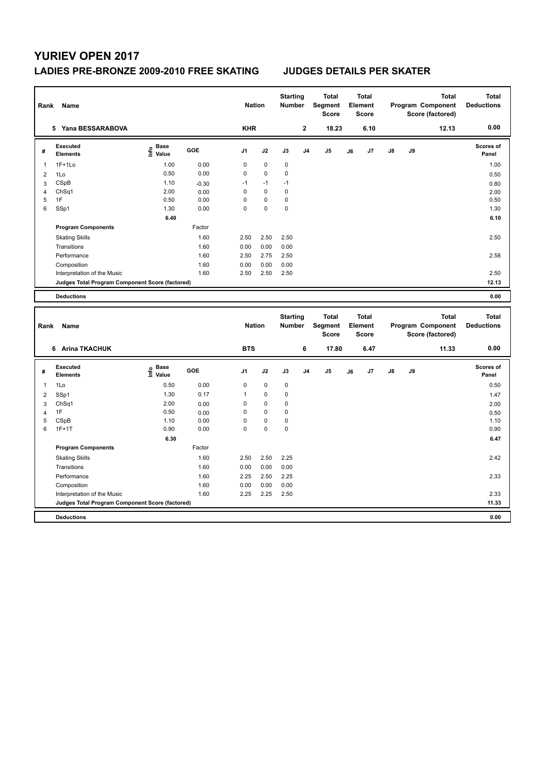## **LADIES PRE-BRONZE 2009-2010 FREE SKATING JUDGES DETAILS PER SKATER**

| Rank           | Name                                            |                              |         | <b>Nation</b>  |             | <b>Starting</b><br><b>Number</b> |                | <b>Total</b><br>Segment<br><b>Score</b>        |    | <b>Total</b><br>Element<br><b>Score</b> |    |    | <b>Total</b><br>Program Component<br>Score (factored) | <b>Total</b><br><b>Deductions</b> |
|----------------|-------------------------------------------------|------------------------------|---------|----------------|-------------|----------------------------------|----------------|------------------------------------------------|----|-----------------------------------------|----|----|-------------------------------------------------------|-----------------------------------|
|                | 5 Yana BESSARABOVA                              |                              |         | <b>KHR</b>     |             |                                  | $\mathbf 2$    | 18.23                                          |    | 6.10                                    |    |    | 12.13                                                 | 0.00                              |
| #              | <b>Executed</b><br><b>Elements</b>              | e Base<br>E Value            | GOE     | J1             | J2          | J3                               | J <sub>4</sub> | J5                                             | J6 | J7                                      | J8 | J9 |                                                       | Scores of<br>Panel                |
| 1              | $1F+1Lo$                                        | 1.00                         | 0.00    | 0              | $\pmb{0}$   | $\pmb{0}$                        |                |                                                |    |                                         |    |    |                                                       | 1.00                              |
| $\overline{2}$ | 1Lo                                             | 0.50                         | 0.00    | 0              | 0           | 0                                |                |                                                |    |                                         |    |    |                                                       | 0.50                              |
| 3              | CSpB                                            | 1.10                         | $-0.30$ | $-1$           | $-1$        | $-1$                             |                |                                                |    |                                         |    |    |                                                       | 0.80                              |
| $\overline{4}$ | ChSq1                                           | 2.00                         | 0.00    | 0              | $\mathbf 0$ | $\pmb{0}$                        |                |                                                |    |                                         |    |    |                                                       | 2.00                              |
| 5              | 1F                                              | 0.50                         | 0.00    | 0              | 0           | $\pmb{0}$                        |                |                                                |    |                                         |    |    |                                                       | 0.50                              |
| 6              | SSp1                                            | 1.30                         | 0.00    | $\overline{0}$ | $\Omega$    | 0                                |                |                                                |    |                                         |    |    |                                                       | 1.30                              |
|                |                                                 | 6.40                         |         |                |             |                                  |                |                                                |    |                                         |    |    |                                                       | 6.10                              |
|                | <b>Program Components</b>                       |                              | Factor  |                |             |                                  |                |                                                |    |                                         |    |    |                                                       |                                   |
|                | <b>Skating Skills</b>                           |                              | 1.60    | 2.50           | 2.50        | 2.50                             |                |                                                |    |                                         |    |    |                                                       | 2.50                              |
|                | Transitions                                     |                              | 1.60    | 0.00           | 0.00        | 0.00                             |                |                                                |    |                                         |    |    |                                                       |                                   |
|                | Performance                                     |                              | 1.60    | 2.50           | 2.75        | 2.50                             |                |                                                |    |                                         |    |    |                                                       | 2.58                              |
|                | Composition                                     |                              | 1.60    | 0.00           | 0.00        | 0.00                             |                |                                                |    |                                         |    |    |                                                       |                                   |
|                | Interpretation of the Music                     |                              | 1.60    | 2.50           | 2.50        | 2.50                             |                |                                                |    |                                         |    |    |                                                       | 2.50                              |
|                | Judges Total Program Component Score (factored) |                              |         |                |             |                                  |                |                                                |    |                                         |    |    |                                                       | 12.13                             |
|                | <b>Deductions</b>                               |                              |         |                |             |                                  |                |                                                |    |                                         |    |    |                                                       | 0.00                              |
|                |                                                 |                              |         |                |             |                                  |                |                                                |    |                                         |    |    |                                                       |                                   |
| Rank           | Name                                            |                              |         | <b>Nation</b>  |             | <b>Starting</b><br><b>Number</b> |                | <b>Total</b><br><b>Segment</b><br><b>Score</b> |    | <b>Total</b><br>Element<br><b>Score</b> |    |    | <b>Total</b><br>Program Component<br>Score (factored) | <b>Total</b><br><b>Deductions</b> |
|                | 6 Arina TKACHUK                                 |                              |         | <b>BTS</b>     |             |                                  | 6              | 17.80                                          |    | 6.47                                    |    |    | 11.33                                                 | 0.00                              |
| #              | <b>Executed</b><br><b>Elements</b>              | <b>Base</b><br>١nf٥<br>Value | GOE     | J <sub>1</sub> | J2          | J3                               | J <sub>4</sub> | J5                                             | J6 | J7                                      | J8 | J9 |                                                       | <b>Scores of</b><br>Panel         |
| 1              | 1Lo                                             | 0.50                         | 0.00    | 0              | $\pmb{0}$   | $\mathbf 0$                      |                |                                                |    |                                         |    |    |                                                       | 0.50                              |
| $\overline{2}$ | SSp1                                            | 1.30                         | 0.17    | $\mathbf{1}$   | $\mathbf 0$ | $\mathbf 0$                      |                |                                                |    |                                         |    |    |                                                       | 1.47                              |
| 3              | ChSq1                                           | 2.00                         | 0.00    | 0              | $\pmb{0}$   | $\pmb{0}$                        |                |                                                |    |                                         |    |    |                                                       | 2.00                              |
| $\overline{4}$ | 1F                                              | 0.50                         | 0.00    | 0              | $\pmb{0}$   | 0                                |                |                                                |    |                                         |    |    |                                                       | 0.50                              |
| 5              | CSpB                                            | 1.10                         | 0.00    | 0              | $\pmb{0}$   | $\pmb{0}$                        |                |                                                |    |                                         |    |    |                                                       | 1.10                              |
| 6              | $1F+1T$                                         | 0.90                         | 0.00    | 0              | $\mathbf 0$ | $\mathbf 0$                      |                |                                                |    |                                         |    |    |                                                       | 0.90                              |
|                |                                                 | 6.30                         |         |                |             |                                  |                |                                                |    |                                         |    |    |                                                       | 6.47                              |
|                | <b>Program Components</b>                       |                              | Factor  |                |             |                                  |                |                                                |    |                                         |    |    |                                                       |                                   |
|                | <b>Skating Skills</b>                           |                              | 1.60    | 2.50           | 2.50        | 2.25                             |                |                                                |    |                                         |    |    |                                                       | 2.42                              |
|                | Transitions                                     |                              | 1.60    | 0.00           | 0.00        | 0.00                             |                |                                                |    |                                         |    |    |                                                       |                                   |
|                | Performance                                     |                              | 1.60    | 2.25           | 2.50        | 2.25                             |                |                                                |    |                                         |    |    |                                                       | 2.33                              |
|                | Composition                                     |                              | 1.60    | 0.00           | 0.00        | 0.00                             |                |                                                |    |                                         |    |    |                                                       |                                   |
|                | Interpretation of the Music                     |                              | 1.60    | 2.25           | 2.25        | 2.50                             |                |                                                |    |                                         |    |    |                                                       | 2.33                              |
|                | Judges Total Program Component Score (factored) |                              |         |                |             |                                  |                |                                                |    |                                         |    |    |                                                       | 11.33                             |